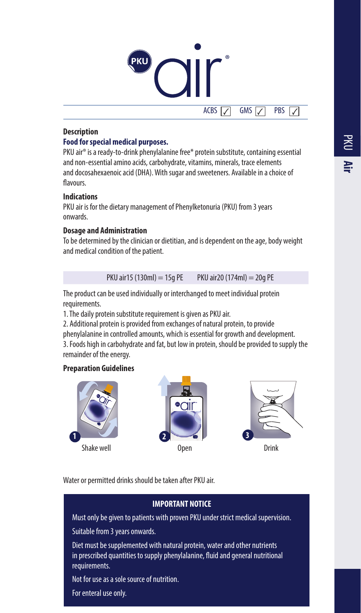# ®  $ACBS$   $\boxed{\checkmark}$  GMS  $\boxed{\checkmark}$  PBS

# **Description**

#### **Food for special medical purposes.**

PKU air® is a ready-to-drink phenylalanine free\* protein substitute, containing essential and non-essential amino acids, carbohydrate, vitamins, minerals, trace elements and docosahexaenoic acid (DHA). With sugar and sweeteners. Available in a choice of flavours.

#### **Indications**

PKU air is for the dietary management of Phenylketonuria (PKU) from 3 years onwards.

### **Dosage and Administration**

To be determined by the clinician or dietitian, and is dependent on the age, body weight and medical condition of the patient.

PKU air15 (130ml) = 15g PE PKU air20 (174ml) = 20g PE

The product can be used individually or interchanged to meet individual protein requirements.

1. The daily protein substitute requirement is given as PKU air.

2. Additional protein is provided from exchanges of natural protein, to provide

phenylalanine in controlled amounts, which is essential for growth and development. 3. Foods high in carbohydrate and fat, but low in protein, should be provided to supply the remainder of the energy.

### **Preparation Guidelines**







Water or permitted drinks should be taken after PKU air.

### **IMPORTANT NOTICE**

Must only be given to patients with proven PKU under strict medical supervision.

Suitable from 3 years onwards.

Diet must be supplemented with natural protein, water and other nutrients in prescribed quantities to supply phenylalanine, fluid and general nutritional requirements.

Not for use as a sole source of nutrition.

For enteral use only.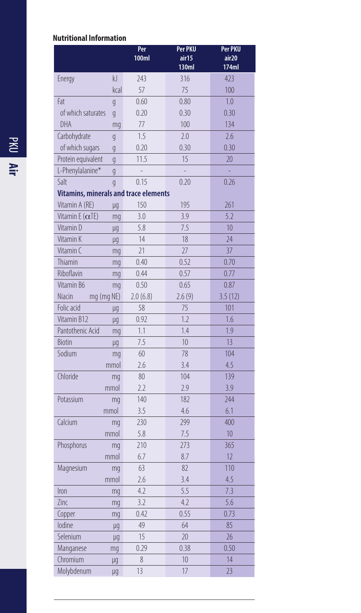# **Nutritional Information**

|                                              |                | Per<br><b>100ml</b> | Per PKU<br>air15<br>130ml | Per PKU<br>air20<br>174ml |
|----------------------------------------------|----------------|---------------------|---------------------------|---------------------------|
| Energy                                       | kJ             | 243                 | 316                       | 423                       |
|                                              | kcal           | 57                  | 75                        | 100                       |
| Fat                                          | $\overline{g}$ | 0.60                | 0.80                      | 1.0                       |
| of which saturates                           | $\overline{g}$ | 0.20                | 0.30                      | 0.30                      |
| DHA                                          | mq             | 77                  | 100                       | 134                       |
| Carbohydrate                                 | $\overline{g}$ | 1.5                 | 2.0                       | 2.6                       |
| of which sugars                              | q              | 0.20                | 0.30                      | 0.30                      |
| Protein equivalent                           | q              | 11.5                | 15                        | 20                        |
| L-Phenylalanine*                             | $\overline{q}$ | $\overline{a}$      | $\overline{a}$            | L.                        |
| Salt                                         | $\overline{q}$ | 0.15                | 0.20                      | 0.26                      |
| <b>Vitamins, minerals and trace elements</b> |                |                     |                           |                           |
| Vitamin A (RE)                               | μq             | 150                 | 195                       | 261                       |
| Vitamin E $(\alpha$ TE)                      | mq             | 3.0                 | 3.9                       | 5.2                       |
| Vitamin D                                    | μq             | 5.8                 | 7.5                       | 10                        |
| Vitamin K                                    | μq             | 14                  | 18                        | 24                        |
| Vitamin C                                    | mq             | 21                  | 27                        | 37                        |
| Thiamin                                      | mq             | 0.40                | 0.52                      | 0.70                      |
| Riboflavin                                   | mq             | 0.44                | 0.57                      | 0.77                      |
| Vitamin B6                                   | mq             | 0.50                | 0.65                      | 0.87                      |
| Niacin                                       | mg (mg NE)     | 2.0(6.8)            | 2.6(9)                    | 3.5(12)                   |
| Folic acid                                   | μq             | 58                  | 75                        | 101                       |
| Vitamin B12                                  | μq             | 0.92                | 1.7                       | 1.6                       |
| Pantothenic Acid                             | mq             | 1.1                 | 1.4                       | 1.9                       |
| <b>Biotin</b>                                | μq             | 7.5                 | 10                        | 13                        |
| Sodium                                       | mq             | 60                  | 78                        | 104                       |
|                                              | mmol           | 2.6                 | 3.4                       | 4.5                       |
| Chloride                                     | mq             | 80                  | 104                       | 139                       |
|                                              | mmol           | 2.2                 | 2.9                       | 3.9                       |
| Potassium                                    | mq             | 140                 | 182                       | 244                       |
|                                              | mmol           | 3.5                 | 4.6                       | 6.1                       |
| Calcium                                      | mq             | 230                 | 299                       | 400                       |
|                                              | mmol           | 5.8                 | 7.5                       | 10                        |
| Phosphorus                                   | mq             | 210                 | 273                       | 365                       |
|                                              | mmol           | 6.7                 | 8.7                       | 12                        |
| Magnesium                                    | mq             | 63                  | 82                        | 110                       |
|                                              | mmol           | 2.6                 | 3.4                       | 4.5                       |
| Iron                                         | mq             | 4.2                 | 5.5                       | 7.3                       |
| Zinc                                         | mq             | 3.2                 | 4.2                       | 5.6                       |
| Copper                                       | mq             | 0.42                | 0.55                      | 0.73                      |
| lodine                                       | μg             | 49                  | 64                        | 85                        |
| Selenium                                     | μq             | 15                  | 20                        | 26                        |
| Manganese                                    | mg             | 0.29                | 0.38                      | 0.50                      |
| Chromium                                     | μq             | 8                   | 10                        | 14                        |
| Molybdenum                                   | μq             | 13                  | 17                        | 23                        |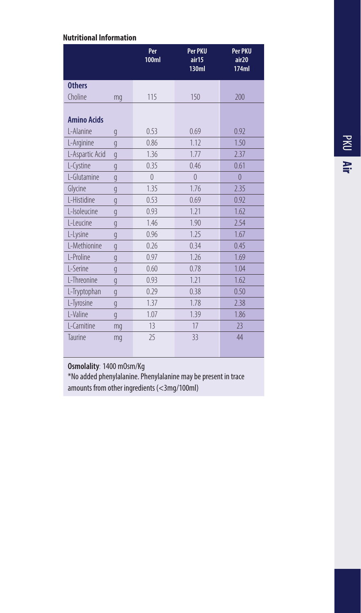# **Nutritional Information**

|                                 |                | Per<br><b>100ml</b> | Per PKU<br>air15<br><b>130ml</b> | Per PKU<br>air20<br>174ml |
|---------------------------------|----------------|---------------------|----------------------------------|---------------------------|
| <b>Others</b>                   |                |                     |                                  |                           |
| Choline                         | mq             | 115                 | 150                              | 200                       |
| <b>Amino Acids</b><br>L-Alanine | g              | 0.53                | 0.69                             | 0.92                      |
| L-Arginine                      | q              | 0.86                | 1.12                             | 1.50                      |
| L-Aspartic Acid                 | g              | 1.36                | 1.77                             | 2.37                      |
| L-Cystine                       | q              | 0.35                | 0.46                             | 0.61                      |
| L-Glutamine                     | q              | $\Omega$            | $\theta$                         | $\overline{0}$            |
| Glycine                         | $\overline{g}$ | 1.35                | 1.76                             | 2.35                      |
| L-Histidine                     | g              | 0.53                | 0.69                             | 0.92                      |
| L-Isoleucine                    | q              | 0.93                | 1.21                             | 1.62                      |
| L-Leucine                       | g              | 1.46                | 1.90                             | 2.54                      |
| L-Lysine                        | g              | 0.96                | 1.25                             | 1.67                      |
| L-Methionine                    | $\overline{g}$ | 0.26                | 0.34                             | 0.45                      |
| L-Proline                       | g              | 0.97                | 1.26                             | 1.69                      |
| L-Serine                        | g              | 0.60                | 0.78                             | 1.04                      |
| L-Threonine                     | g              | 0.93                | 1.21                             | 1.62                      |
| L-Tryptophan                    | $\overline{g}$ | 0.29                | 0.38                             | 0.50                      |
| L-Tyrosine                      | g              | 1.37                | 1.78                             | 2.38                      |
| L-Valine                        | g              | 1.07                | 1.39                             | 1.86                      |
| L-Carnitine                     | mg             | 13                  | 17                               | 23                        |
| Taurine                         | mg             | 25                  | 33                               | 44                        |

**Osmolality**: 1400 mOsm/Kg

\*No added phenylalanine. Phenylalanine may be present in trace amounts from other ingredients (<3mg/100ml)